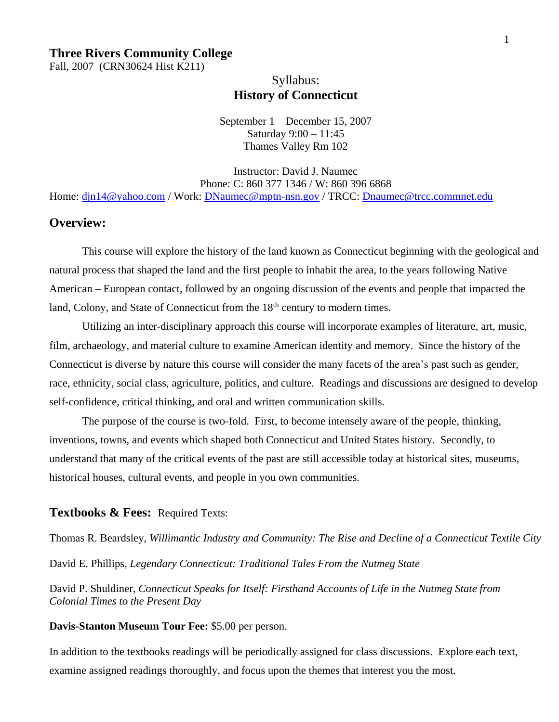## **Three Rivers Community College**

Fall, 2007 (CRN30624 Hist K211)

## Syllabus: **History of Connecticut**

September 1 – December 15, 2007 Saturday 9:00 – 11:45 Thames Valley Rm 102

Instructor: David J. Naumec Phone: C: 860 377 1346 / W: 860 396 6868 Home: [djn14@yahoo.com](mailto:djn14@yahoo.com) / Work: [DNaumec@mptn-nsn.gov](mailto:DNaumec@mptn-nsn.gov) / TRCC: [Dnaumec@trcc.commnet.edu](mailto:Dnaumec@trcc.commnet.edu)

## **Overview:**

This course will explore the history of the land known as Connecticut beginning with the geological and natural process that shaped the land and the first people to inhabit the area, to the years following Native American – European contact, followed by an ongoing discussion of the events and people that impacted the land, Colony, and State of Connecticut from the  $18<sup>th</sup>$  century to modern times.

Utilizing an inter-disciplinary approach this course will incorporate examples of literature, art, music, film, archaeology, and material culture to examine American identity and memory. Since the history of the Connecticut is diverse by nature this course will consider the many facets of the area's past such as gender, race, ethnicity, social class, agriculture, politics, and culture. Readings and discussions are designed to develop self-confidence, critical thinking, and oral and written communication skills.

The purpose of the course is two-fold. First, to become intensely aware of the people, thinking, inventions, towns, and events which shaped both Connecticut and United States history. Secondly, to understand that many of the critical events of the past are still accessible today at historical sites, museums, historical houses, cultural events, and people in you own communities.

### **Textbooks & Fees:** Required Texts:

Thomas R. Beardsley, *Willimantic Industry and Community: The Rise and Decline of a Connecticut Textile City* David E. Phillips, *Legendary Connecticut: Traditional Tales From the Nutmeg State*

David P. Shuldiner, *Connecticut Speaks for Itself: Firsthand Accounts of Life in the Nutmeg State from Colonial Times to the Present Day*

#### **Davis-Stanton Museum Tour Fee:** \$5.00 per person.

In addition to the textbooks readings will be periodically assigned for class discussions. Explore each text, examine assigned readings thoroughly, and focus upon the themes that interest you the most.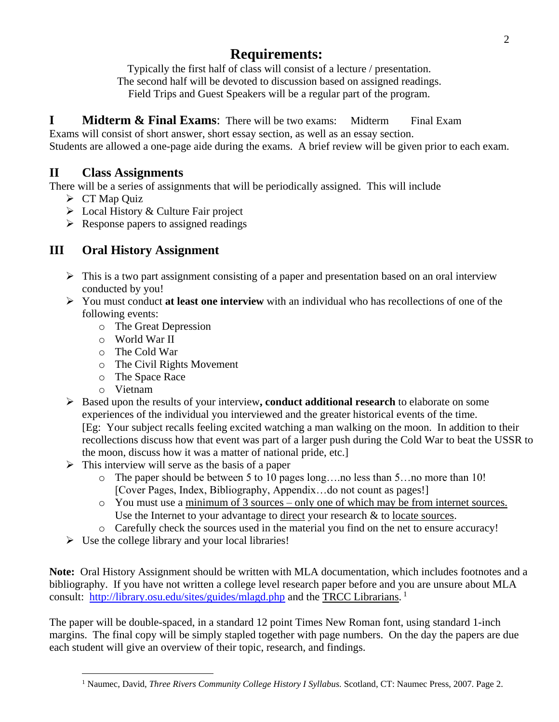# **Requirements:**

Typically the first half of class will consist of a lecture / presentation. The second half will be devoted to discussion based on assigned readings. Field Trips and Guest Speakers will be a regular part of the program.

**I Midterm & Final Exams**: There will be two exams: Midterm Final Exam Exams will consist of short answer, short essay section, as well as an essay section.

Students are allowed a one-page aide during the exams. A brief review will be given prior to each exam.

## **II Class Assignments**

There will be a series of assignments that will be periodically assigned. This will include

- $\triangleright$  CT Map Quiz
- $\triangleright$  Local History & Culture Fair project
- $\triangleright$  Response papers to assigned readings

## **III Oral History Assignment**

- $\triangleright$  This is a two part assignment consisting of a paper and presentation based on an oral interview conducted by you!
- You must conduct **at least one interview** with an individual who has recollections of one of the following events:
	- o The Great Depression
	- o World War II
	- o The Cold War
	- o The Civil Rights Movement
	- o The Space Race
	- o Vietnam
- Based upon the results of your interview**, conduct additional research** to elaborate on some experiences of the individual you interviewed and the greater historical events of the time. [Eg: Your subject recalls feeling excited watching a man walking on the moon. In addition to their recollections discuss how that event was part of a larger push during the Cold War to beat the USSR to the moon, discuss how it was a matter of national pride, etc.]
- $\triangleright$  This interview will serve as the basis of a paper
	- o The paper should be between 5 to 10 pages long….no less than 5…no more than 10! [Cover Pages, Index, Bibliography, Appendix…do not count as pages!]
	- o You must use a minimum of 3 sources only one of which may be from internet sources. Use the Internet to your advantage to direct your research & to locate sources.
	- o Carefully check the sources used in the material you find on the net to ensure accuracy!
- $\triangleright$  Use the college library and your local libraries!

**Note:** Oral History Assignment should be written with MLA documentation, which includes footnotes and a bibliography. If you have not written a college level research paper before and you are unsure about MLA consult: <http://library.osu.edu/sites/guides/mlagd.php> and the TRCC Librarians.<sup>1</sup>

The paper will be double-spaced, in a standard 12 point Times New Roman font, using standard 1-inch margins. The final copy will be simply stapled together with page numbers. On the day the papers are due each student will give an overview of their topic, research, and findings.

 $\overline{a}$ <sup>1</sup> Naumec, David, *Three Rivers Community College History I Syllabus.* Scotland, CT: Naumec Press, 2007. Page 2.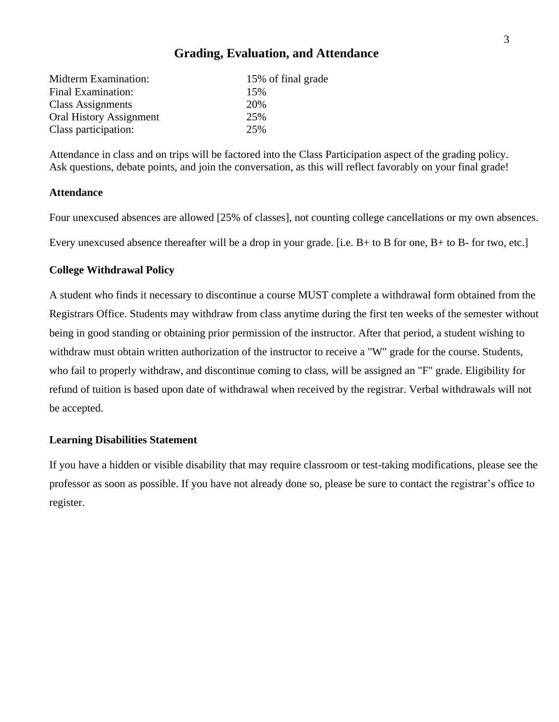## **Grading, Evaluation, and Attendance**

| Midterm Examination:           | 15% of final grade |
|--------------------------------|--------------------|
| Final Examination:             | 15%                |
| Class Assignments              | 20%                |
| <b>Oral History Assignment</b> | 25%                |
| Class participation:           | 25%                |

Attendance in class and on trips will be factored into the Class Participation aspect of the grading policy. Ask questions, debate points, and join the conversation, as this will reflect favorably on your final grade!

### **Attendance**

Four unexcused absences are allowed [25% of classes], not counting college cancellations or my own absences.

Every unexcused absence thereafter will be a drop in your grade. [i.e. B + to B for one, B + to B- for two, etc.]

#### **College Withdrawal Policy**

A student who finds it necessary to discontinue a course MUST complete a withdrawal form obtained from the Registrars Office. Students may withdraw from class anytime during the first ten weeks of the semester without being in good standing or obtaining prior permission of the instructor. After that period, a student wishing to withdraw must obtain written authorization of the instructor to receive a "W" grade for the course. Students, who fail to properly withdraw, and discontinue coming to class, will be assigned an "F" grade. Eligibility for refund of tuition is based upon date of withdrawal when received by the registrar. Verbal withdrawals will not be accepted.

#### **Learning Disabilities Statement**

If you have a hidden or visible disability that may require classroom or test-taking modifications, please see the professor as soon as possible. If you have not already done so, please be sure to contact the registrar's office to register.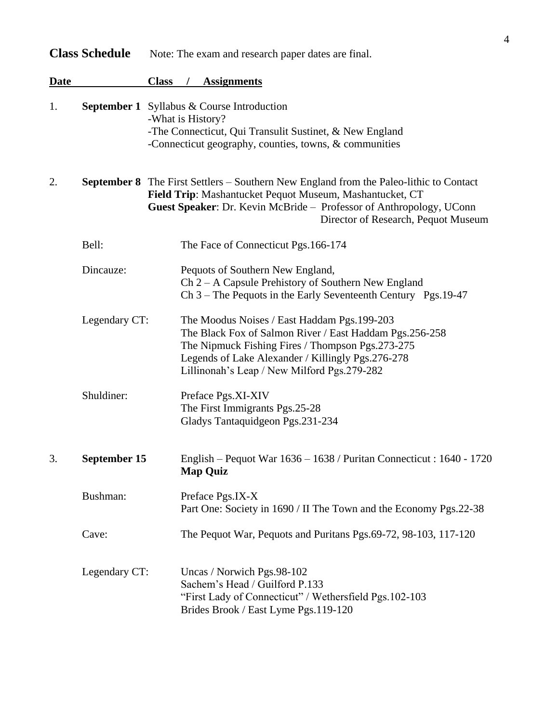|             | <b>Class Schedule</b> | Note: The exam and research paper dates are final.                                                                                                                                                                                                                      |
|-------------|-----------------------|-------------------------------------------------------------------------------------------------------------------------------------------------------------------------------------------------------------------------------------------------------------------------|
| <b>Date</b> |                       | <b>Class</b><br><b>Assignments</b>                                                                                                                                                                                                                                      |
| 1.          |                       | <b>September 1</b> Syllabus & Course Introduction<br>-What is History?<br>-The Connecticut, Qui Transulit Sustinet, & New England<br>-Connecticut geography, counties, towns, $&$ communities                                                                           |
| 2.          |                       | <b>September 8</b> The First Settlers – Southern New England from the Paleo-lithic to Contact<br>Field Trip: Mashantucket Pequot Museum, Mashantucket, CT<br>Guest Speaker: Dr. Kevin McBride - Professor of Anthropology, UConn<br>Director of Research, Pequot Museum |
|             | Bell:                 | The Face of Connecticut Pgs. 166-174                                                                                                                                                                                                                                    |
|             | Dincauze:             | Pequots of Southern New England,<br>$Ch 2 - A$ Capsule Prehistory of Southern New England<br>Ch $3$ – The Pequots in the Early Seventeenth Century Pgs. 19-47                                                                                                           |
|             | Legendary CT:         | The Moodus Noises / East Haddam Pgs. 199-203<br>The Black Fox of Salmon River / East Haddam Pgs.256-258<br>The Nipmuck Fishing Fires / Thompson Pgs.273-275<br>Legends of Lake Alexander / Killingly Pgs.276-278<br>Lillinonah's Leap / New Milford Pgs.279-282         |
|             | Shuldiner:            | Preface Pgs.XI-XIV<br>The First Immigrants Pgs.25-28<br>Gladys Tantaquidgeon Pgs.231-234                                                                                                                                                                                |
| 3.          | September 15          | English - Pequot War 1636 - 1638 / Puritan Connecticut: 1640 - 1720<br><b>Map Quiz</b>                                                                                                                                                                                  |
|             | Bushman:              | Preface Pgs.IX-X<br>Part One: Society in 1690 / II The Town and the Economy Pgs.22-38                                                                                                                                                                                   |
|             | Cave:                 | The Pequot War, Pequots and Puritans Pgs.69-72, 98-103, 117-120                                                                                                                                                                                                         |
|             | Legendary CT:         | Uncas / Norwich Pgs.98-102<br>Sachem's Head / Guilford P.133<br>"First Lady of Connecticut" / Wethersfield Pgs.102-103<br>Brides Brook / East Lyme Pgs.119-120                                                                                                          |

4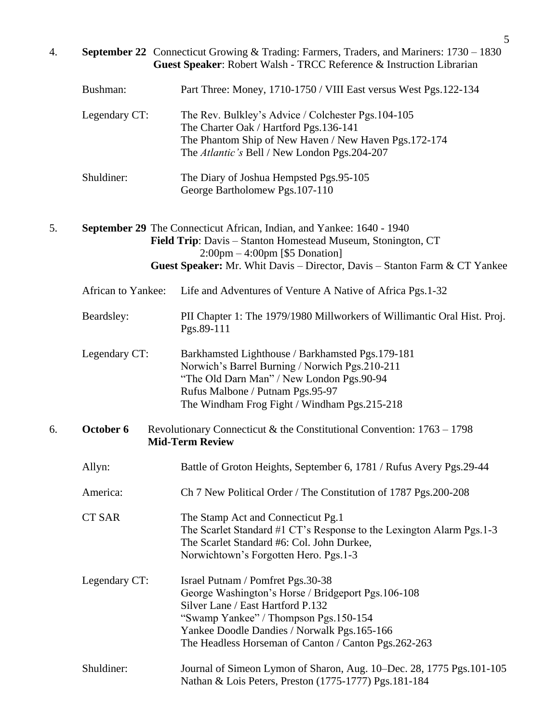|    |                    | 5                                                                                                                                                                                                                                                                              |
|----|--------------------|--------------------------------------------------------------------------------------------------------------------------------------------------------------------------------------------------------------------------------------------------------------------------------|
| 4. |                    | <b>September 22</b> Connecticut Growing & Trading: Farmers, Traders, and Mariners: 1730 – 1830<br>Guest Speaker: Robert Walsh - TRCC Reference & Instruction Librarian                                                                                                         |
|    | Bushman:           | Part Three: Money, 1710-1750 / VIII East versus West Pgs.122-134                                                                                                                                                                                                               |
|    | Legendary CT:      | The Rev. Bulkley's Advice / Colchester Pgs. 104-105<br>The Charter Oak / Hartford Pgs. 136-141<br>The Phantom Ship of New Haven / New Haven Pgs.172-174<br>The Atlantic's Bell / New London Pgs.204-207                                                                        |
|    | Shuldiner:         | The Diary of Joshua Hempsted Pgs.95-105<br>George Bartholomew Pgs. 107-110                                                                                                                                                                                                     |
| 5. |                    | September 29 The Connecticut African, Indian, and Yankee: 1640 - 1940<br>Field Trip: Davis - Stanton Homestead Museum, Stonington, CT<br>$2:00 \text{pm} - 4:00 \text{pm}$ [\$5 Donation]<br>Guest Speaker: Mr. Whit Davis – Director, Davis – Stanton Farm & CT Yankee        |
|    | African to Yankee: | Life and Adventures of Venture A Native of Africa Pgs.1-32                                                                                                                                                                                                                     |
|    | Beardsley:         | PII Chapter 1: The 1979/1980 Millworkers of Willimantic Oral Hist. Proj.<br>Pgs.89-111                                                                                                                                                                                         |
|    | Legendary CT:      | Barkhamsted Lighthouse / Barkhamsted Pgs. 179-181<br>Norwich's Barrel Burning / Norwich Pgs.210-211<br>"The Old Darn Man" / New London Pgs.90-94<br>Rufus Malbone / Putnam Pgs.95-97<br>The Windham Frog Fight / Windham Pgs.215-218                                           |
| 6. | October 6          | Revolutionary Connecticut & the Constitutional Convention: $1763 - 1798$<br><b>Mid-Term Review</b>                                                                                                                                                                             |
|    | Allyn:             | Battle of Groton Heights, September 6, 1781 / Rufus Avery Pgs.29-44                                                                                                                                                                                                            |
|    | America:           | Ch 7 New Political Order / The Constitution of 1787 Pgs.200-208                                                                                                                                                                                                                |
|    | <b>CT SAR</b>      | The Stamp Act and Connecticut Pg.1<br>The Scarlet Standard #1 CT's Response to the Lexington Alarm Pgs.1-3<br>The Scarlet Standard #6: Col. John Durkee,<br>Norwichtown's Forgotten Hero. Pgs.1-3                                                                              |
|    | Legendary CT:      | Israel Putnam / Pomfret Pgs.30-38<br>George Washington's Horse / Bridgeport Pgs. 106-108<br>Silver Lane / East Hartford P.132<br>"Swamp Yankee" / Thompson Pgs.150-154<br>Yankee Doodle Dandies / Norwalk Pgs. 165-166<br>The Headless Horseman of Canton / Canton Pgs.262-263 |
|    | Shuldiner:         | Journal of Simeon Lymon of Sharon, Aug. 10–Dec. 28, 1775 Pgs.101-105<br>Nathan & Lois Peters, Preston (1775-1777) Pgs. 181-184                                                                                                                                                 |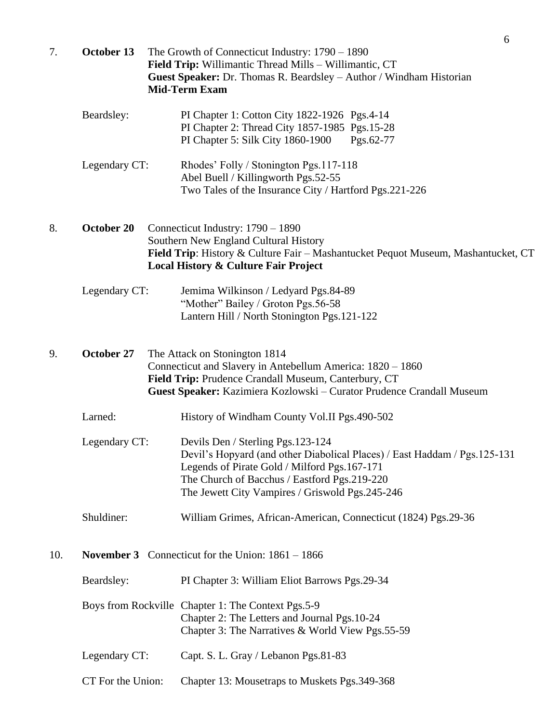| 7.  | October 13                                                 | 6<br>The Growth of Connecticut Industry: $1790 - 1890$<br>Field Trip: Willimantic Thread Mills - Willimantic, CT<br>Guest Speaker: Dr. Thomas R. Beardsley - Author / Windham Historian<br><b>Mid-Term Exam</b>                                                     |  |
|-----|------------------------------------------------------------|---------------------------------------------------------------------------------------------------------------------------------------------------------------------------------------------------------------------------------------------------------------------|--|
|     | Beardsley:                                                 | PI Chapter 1: Cotton City 1822-1926 Pgs.4-14<br>PI Chapter 2: Thread City 1857-1985 Pgs.15-28<br>PI Chapter 5: Silk City 1860-1900<br>Pgs.62-77                                                                                                                     |  |
|     | Legendary CT:                                              | Rhodes' Folly / Stonington Pgs.117-118<br>Abel Buell / Killingworth Pgs.52-55<br>Two Tales of the Insurance City / Hartford Pgs.221-226                                                                                                                             |  |
| 8.  | October 20                                                 | Connecticut Industry: 1790 - 1890<br>Southern New England Cultural History<br>Field Trip: History & Culture Fair - Mashantucket Pequot Museum, Mashantucket, CT<br>Local History & Culture Fair Project                                                             |  |
|     | Legendary CT:                                              | Jemima Wilkinson / Ledyard Pgs.84-89<br>"Mother" Bailey / Groton Pgs.56-58<br>Lantern Hill / North Stonington Pgs.121-122                                                                                                                                           |  |
| 9.  | October 27                                                 | The Attack on Stonington 1814<br>Connecticut and Slavery in Antebellum America: 1820 - 1860<br>Field Trip: Prudence Crandall Museum, Canterbury, CT<br>Guest Speaker: Kazimiera Kozlowski – Curator Prudence Crandall Museum                                        |  |
|     | Larned:                                                    | History of Windham County Vol.II Pgs.490-502                                                                                                                                                                                                                        |  |
|     | Legendary CT:                                              | Devils Den / Sterling Pgs. 123-124<br>Devil's Hopyard (and other Diabolical Places) / East Haddam / Pgs.125-131<br>Legends of Pirate Gold / Milford Pgs. 167-171<br>The Church of Bacchus / Eastford Pgs.219-220<br>The Jewett City Vampires / Griswold Pgs.245-246 |  |
|     | Shuldiner:                                                 | William Grimes, African-American, Connecticut (1824) Pgs.29-36                                                                                                                                                                                                      |  |
| 10. | <b>November 3</b> Connecticut for the Union: $1861 - 1866$ |                                                                                                                                                                                                                                                                     |  |
|     | Beardsley:                                                 | PI Chapter 3: William Eliot Barrows Pgs.29-34                                                                                                                                                                                                                       |  |
|     |                                                            | Boys from Rockville Chapter 1: The Context Pgs.5-9<br>Chapter 2: The Letters and Journal Pgs. 10-24<br>Chapter 3: The Narratives & World View Pgs.55-59                                                                                                             |  |
|     | Legendary CT:                                              | Capt. S. L. Gray / Lebanon Pgs.81-83                                                                                                                                                                                                                                |  |
|     | CT For the Union:                                          | Chapter 13: Mousetraps to Muskets Pgs.349-368                                                                                                                                                                                                                       |  |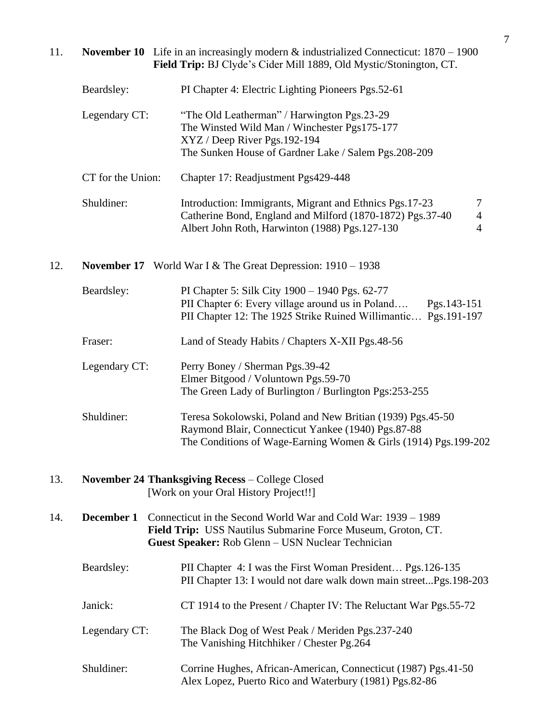## 11. **November 10** Life in an increasingly modern & industrialized Connecticut: 1870 – 1900  **Field Trip:** BJ Clyde's Cider Mill 1889, Old Mystic/Stonington, CT.

| Beardsley:        | PI Chapter 4: Electric Lighting Pioneers Pgs. 52-61                                                                                                                                    |             |
|-------------------|----------------------------------------------------------------------------------------------------------------------------------------------------------------------------------------|-------------|
| Legendary CT:     | "The Old Leatherman" / Harwington Pgs.23-29<br>The Winsted Wild Man / Winchester Pgs175-177<br>$XYZ / Deep River Pgs.192-194$<br>The Sunken House of Gardner Lake / Salem Pgs. 208-209 |             |
| CT for the Union: | Chapter 17: Readjustment Pgs429-448                                                                                                                                                    |             |
| Shuldiner:        | Introduction: Immigrants, Migrant and Ethnics Pgs. 17-23<br>Catherine Bond, England and Milford (1870-1872) Pgs.37-40<br>Albert John Roth, Harwinton (1988) Pgs.127-130                | 7<br>4<br>4 |

### 12. **November 17** World War I & The Great Depression: 1910 – 1938

| Beardsley:    | PI Chapter 5: Silk City 1900 – 1940 Pgs. 62-77<br>PII Chapter 6: Every village around us in Poland<br>Pgs.143-151<br>PII Chapter 12: The 1925 Strike Ruined Willimantic<br>Pgs.191-197 |
|---------------|----------------------------------------------------------------------------------------------------------------------------------------------------------------------------------------|
| Fraser:       | Land of Steady Habits / Chapters X-XII Pgs.48-56                                                                                                                                       |
| Legendary CT: | Perry Boney / Sherman Pgs.39-42<br>Elmer Bitgood / Voluntown Pgs.59-70<br>The Green Lady of Burlington / Burlington Pgs: 253-255                                                       |
| Shuldiner:    | Teresa Sokolowski, Poland and New Britian (1939) Pgs. 45-50<br>Raymond Blair, Connecticut Yankee (1940) Pgs.87-88<br>The Conditions of Wage-Earning Women & Girls (1914) Pgs.199-202   |

#### 13. **November 24 Thanksgiving Recess** – College Closed [Work on your Oral History Project!!]

| 14. | <b>December 1</b> Connecticut in the Second World War and Cold War: 1939 – 1989 |
|-----|---------------------------------------------------------------------------------|
|     | <b>Field Trip:</b> USS Nautilus Submarine Force Museum, Groton, CT.             |
|     | <b>Guest Speaker:</b> Rob Glenn – USN Nuclear Technician                        |

| Beardsley: | PII Chapter 4: I was the First Woman President Pgs. 126-135       |
|------------|-------------------------------------------------------------------|
|            | PII Chapter 13: I would not dare walk down main streetPgs.198-203 |
|            |                                                                   |

- Janick: CT 1914 to the Present / Chapter IV: The Reluctant War Pgs.55-72
- Legendary CT: The Black Dog of West Peak / Meriden Pgs.237-240 The Vanishing Hitchhiker / Chester Pg.264
- Shuldiner: Corrine Hughes, African-American, Connecticut (1987) Pgs.41-50 Alex Lopez, Puerto Rico and Waterbury (1981) Pgs.82-86